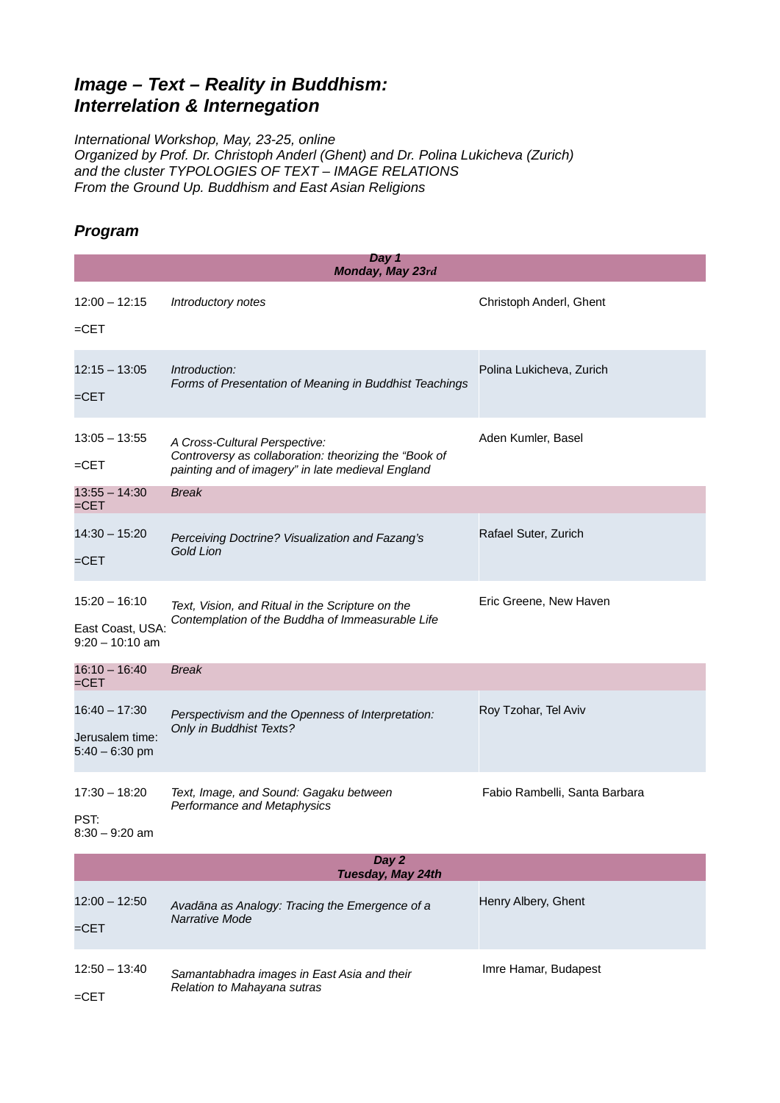## *Image – Text – Reality in Buddhism: Interrelation & Internegation*

*International Workshop, May, 23-25, online Organized by Prof. Dr. Christoph Anderl (Ghent) and Dr. Polina Lukicheva (Zurich) and the cluster TYPOLOGIES OF TEXT – IMAGE RELATIONS From the Ground Up. Buddhism and East Asian Religions*

## *Program*

| Day 1<br>Monday, May 23rd                                |                                                                                                                                             |                               |  |
|----------------------------------------------------------|---------------------------------------------------------------------------------------------------------------------------------------------|-------------------------------|--|
| $12:00 - 12:15$<br>= $CET$                               | Introductory notes                                                                                                                          | Christoph Anderl, Ghent       |  |
| $12:15 - 13:05$<br>=CET                                  | Introduction:<br>Forms of Presentation of Meaning in Buddhist Teachings                                                                     | Polina Lukicheva, Zurich      |  |
| $13:05 - 13:55$<br>= $CET$                               | A Cross-Cultural Perspective:<br>Controversy as collaboration: theorizing the "Book of<br>painting and of imagery" in late medieval England | Aden Kumler, Basel            |  |
| $13:55 - 14:30$<br>$=$ CET                               | <b>Break</b>                                                                                                                                |                               |  |
| $14:30 - 15:20$<br>$=$ CET                               | Perceiving Doctrine? Visualization and Fazang's<br>Gold Lion                                                                                | Rafael Suter, Zurich          |  |
| $15:20 - 16:10$<br>East Coast, USA:<br>$9:20 - 10:10$ am | Text, Vision, and Ritual in the Scripture on the<br>Contemplation of the Buddha of Immeasurable Life                                        | Eric Greene, New Haven        |  |
| $16:10 - 16:40$<br>$=$ CET                               | <b>Break</b>                                                                                                                                |                               |  |
| $16:40 - 17:30$<br>Jerusalem time:<br>$5:40 - 6:30$ pm   | Perspectivism and the Openness of Interpretation:<br>Only in Buddhist Texts?                                                                | Roy Tzohar, Tel Aviv          |  |
| $17:30 - 18:20$<br>PST:<br>$8:30 - 9:20$ am              | Text, Image, and Sound: Gagaku between<br>Performance and Metaphysics                                                                       | Fabio Rambelli, Santa Barbara |  |
| Day 2<br>Tuesday, May 24th                               |                                                                                                                                             |                               |  |
| $12:00 - 12:50$<br>=CET                                  | Avadāna as Analogy: Tracing the Emergence of a<br>Narrative Mode                                                                            | Henry Albery, Ghent           |  |
| $12:50 - 13:40$<br>$=CET$                                | Samantabhadra images in East Asia and their<br>Relation to Mahayana sutras                                                                  | Imre Hamar, Budapest          |  |